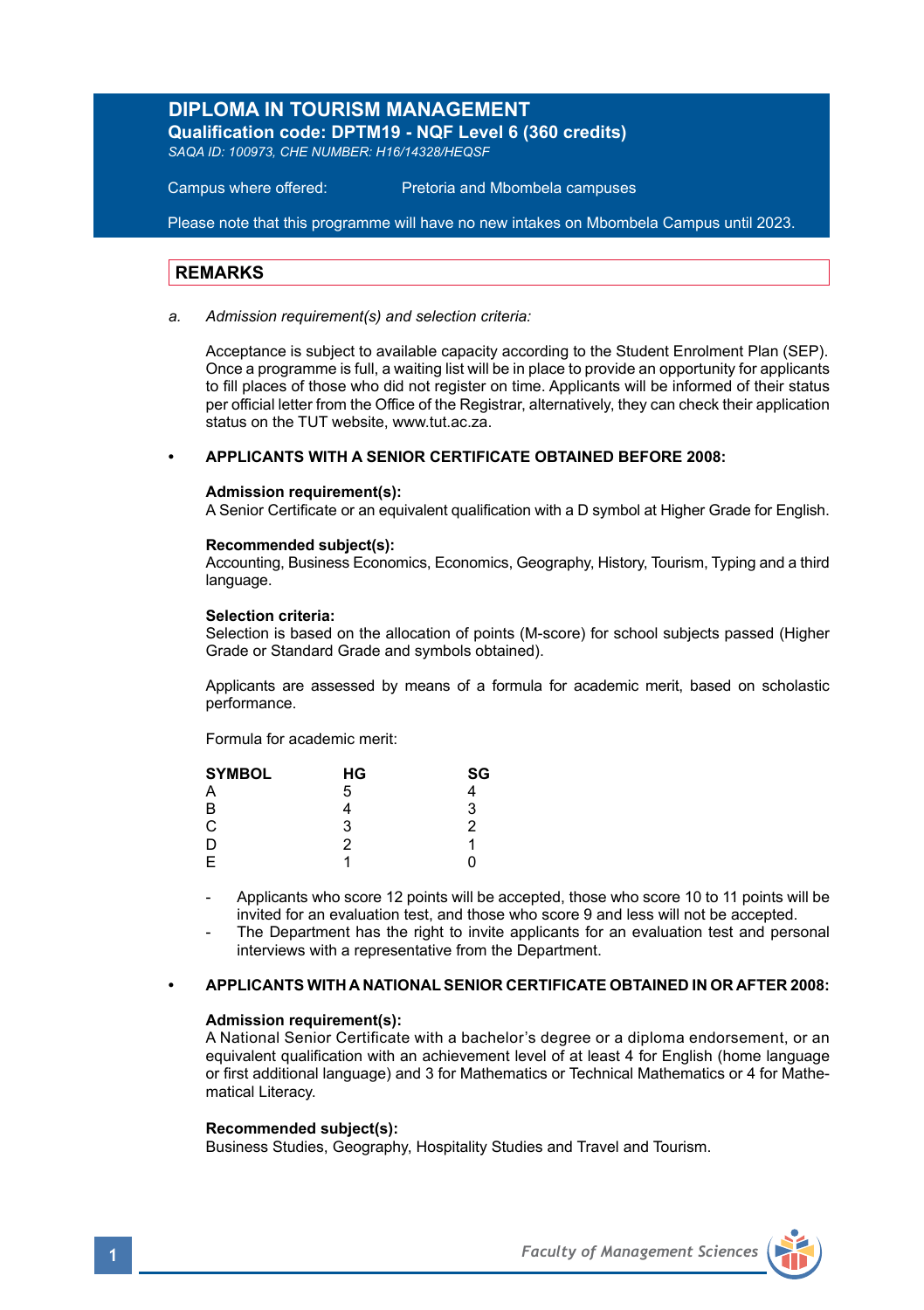## **DIPLOMA IN TOURISM MANAGEMENT**

**Qualification code: DPTM19 - NQF Level 6 (360 credits)**  *SAQA ID: 100973, CHE NUMBER: H16/14328/HEQSF* 

Campus where offered: Pretoria and Mbombela campuses

Please note that this programme will have no new intakes on Mbombela Campus until 2023.

#### **REMARKS**

*a. Admission requirement(s) and selection criteria:*

Acceptance is subject to available capacity according to the Student Enrolment Plan (SEP). Once a programme is full, a waiting list will be in place to provide an opportunity for applicants to fill places of those who did not register on time. Applicants will be informed of their status per official letter from the Office of the Registrar, alternatively, they can check their application status on the TUT website, www.tut.ac.za.

## **• APPLICANTS WITH A SENIOR CERTIFICATE OBTAINED BEFORE 2008:**

#### **Admission requirement(s):**

A Senior Certificate or an equivalent qualification with a D symbol at Higher Grade for English.

#### **Recommended subject(s):**

Accounting, Business Economics, Economics, Geography, History, Tourism, Typing and a third language.

#### **Selection criteria:**

Selection is based on the allocation of points (M-score) for school subjects passed (Higher Grade or Standard Grade and symbols obtained).

Applicants are assessed by means of a formula for academic merit, based on scholastic performance.

Formula for academic merit:

| <b>SYMBOL</b> | НG | SG |  |
|---------------|----|----|--|
| A             | 5  |    |  |
| В             |    | 3  |  |
| C             | 3  | 2  |  |
| D             | 2  | 1  |  |
| E             |    | 0  |  |

- Applicants who score 12 points will be accepted, those who score 10 to 11 points will be invited for an evaluation test, and those who score 9 and less will not be accepted.
- The Department has the right to invite applicants for an evaluation test and personal interviews with a representative from the Department.

#### **• APPLICANTS WITH A NATIONAL SENIOR CERTIFICATE OBTAINED IN OR AFTER 2008:**

#### **Admission requirement(s):**

A National Senior Certificate with a bachelor's degree or a diploma endorsement, or an equivalent qualification with an achievement level of at least 4 for English (home language or first additional language) and 3 for Mathematics or Technical Mathematics or 4 for Mathematical Literacy.

#### **Recommended subject(s):**

Business Studies, Geography, Hospitality Studies and Travel and Tourism.

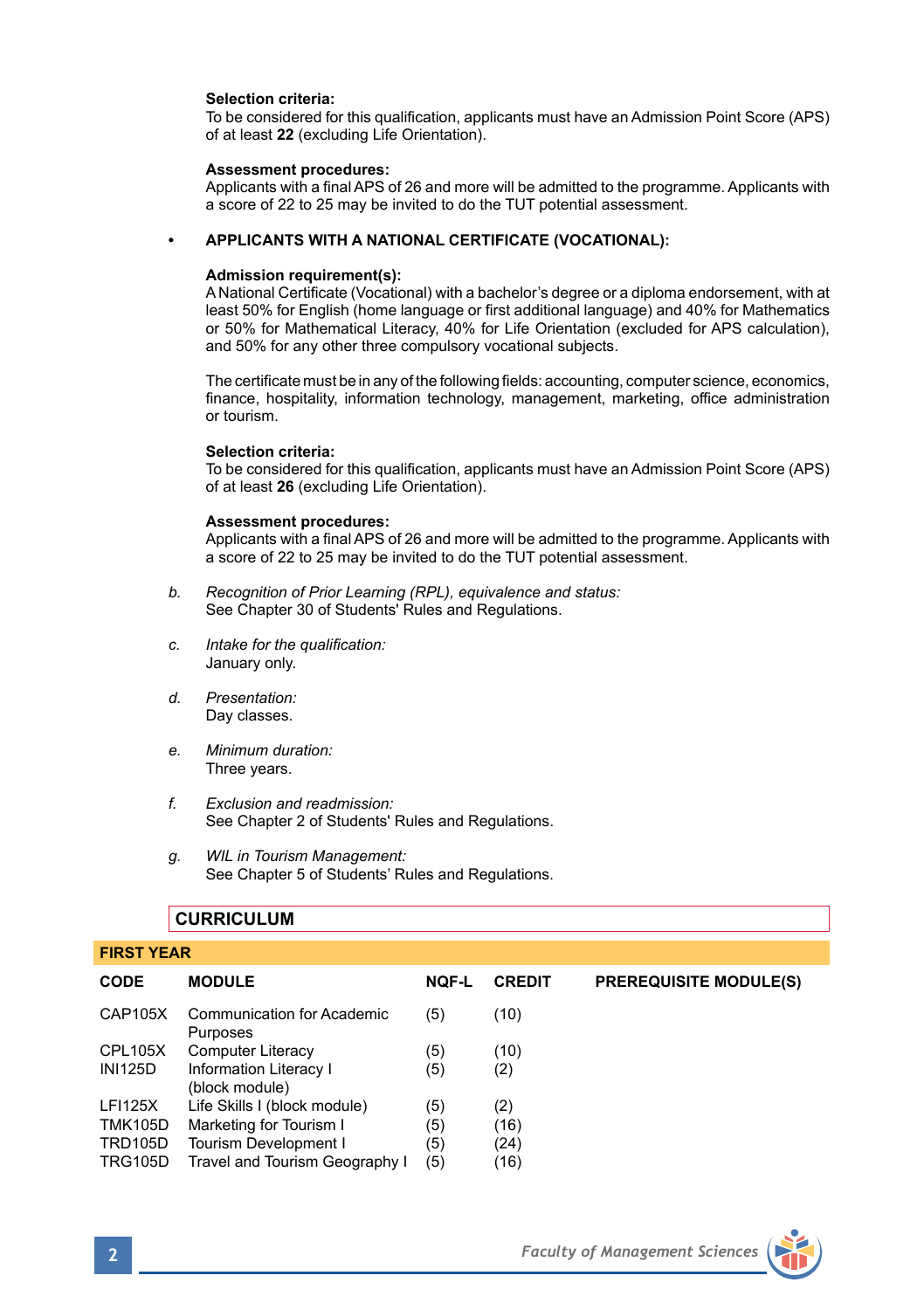#### **Selection criteria:**

To be considered for this qualification, applicants must have an Admission Point Score (APS) of at least **22** (excluding Life Orientation).

#### **Assessment procedures:**

Applicants with a final APS of 26 and more will be admitted to the programme. Applicants with a score of 22 to 25 may be invited to do the TUT potential assessment.

#### **• APPLICANTS WITH A NATIONAL CERTIFICATE (VOCATIONAL):**

#### **Admission requirement(s):**

A National Certificate (Vocational) with a bachelor's degree or a diploma endorsement, with at least 50% for English (home language or first additional language) and 40% for Mathematics or 50% for Mathematical Literacy, 40% for Life Orientation (excluded for APS calculation), and 50% for any other three compulsory vocational subjects.

The certificate must be in any of the following fields: accounting, computer science, economics, finance, hospitality, information technology, management, marketing, office administration or tourism.

#### **Selection criteria:**

To be considered for this qualification, applicants must have an Admission Point Score (APS) of at least **26** (excluding Life Orientation).

#### **Assessment procedures:**

Applicants with a final APS of 26 and more will be admitted to the programme. Applicants with a score of 22 to 25 may be invited to do the TUT potential assessment.

- *b. Recognition of Prior Learning (RPL), equivalence and status:* See Chapter 30 of Students' Rules and Regulations.
- *c. Intake for the qualification:* January only.
- *d. Presentation:* Day classes.
- *e. Minimum duration:* Three years.
- *f. Exclusion and readmission:* See Chapter 2 of Students' Rules and Regulations.
- *g. WIL in Tourism Management:* See Chapter 5 of Students' Rules and Regulations.

## **CURRICULUM**

## **FIRST YEAR CODE MODULE NQF-L CREDIT PREREQUISITE MODULE(S)** CAP105X Communication for Academic (5) (10) Purposes CPL105X Computer Literacy (5) (10)<br>INI125D Information Literacy (5) (2) Information Literacy I (5) (2) (block module) LFI125X Life Skills I (block module) (5) (2) TMK105D Marketing for Tourism I (5) (16) TRD105D Tourism Development I (5) (24) TRG105D Travel and Tourism Geography I (5) (16)

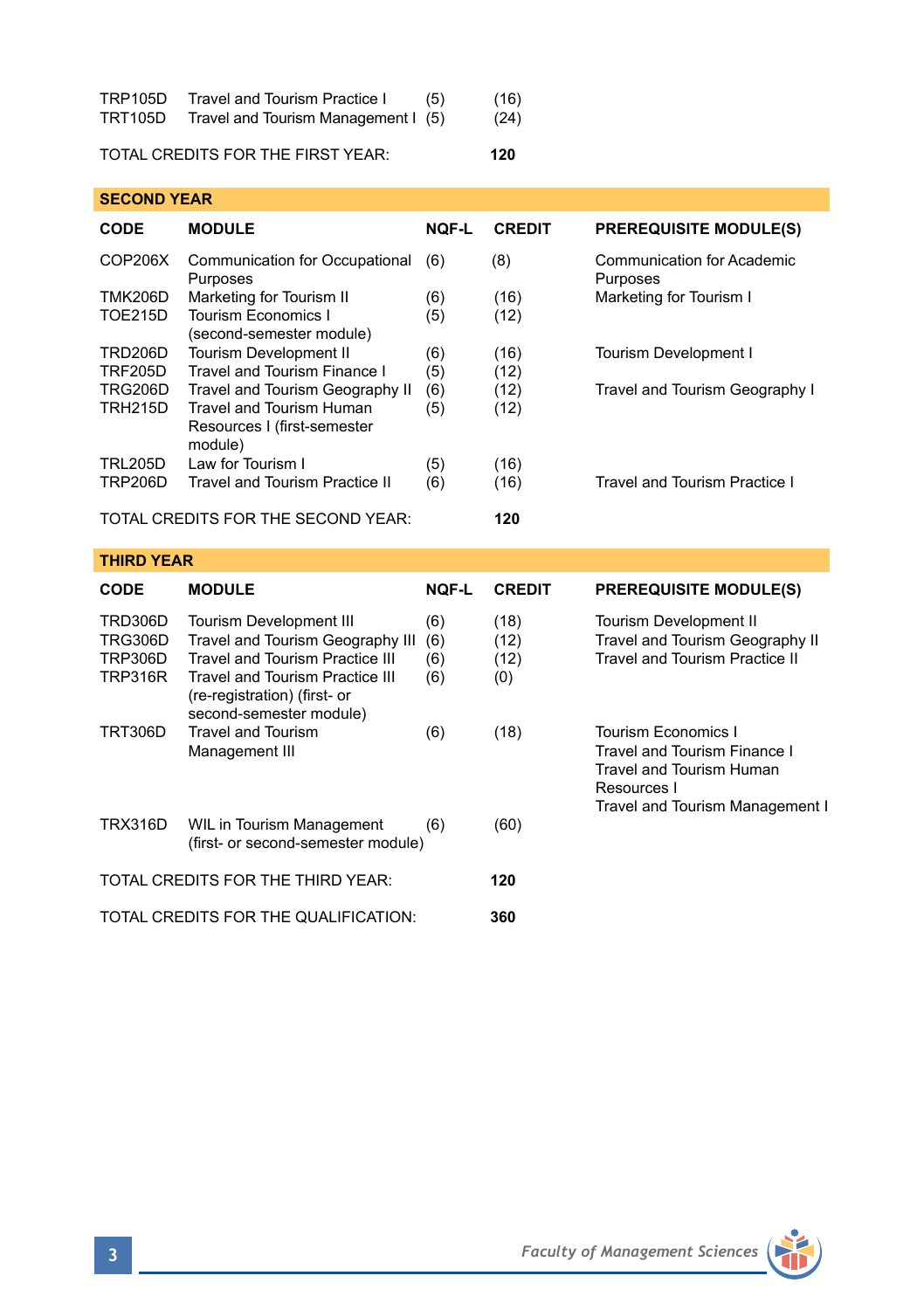| TRP105D        | Travel and Tourism Practice I       | (5) | (16) |
|----------------|-------------------------------------|-----|------|
| <b>TRT105D</b> | Travel and Tourism Management I (5) |     | (24) |

## TOTAL CREDITS FOR THE FIRST YEAR: **120**

| <b>SECOND YEAR</b>                                            |                                                                                                                                                                                 |                          |                             |                                                                                                    |  |  |
|---------------------------------------------------------------|---------------------------------------------------------------------------------------------------------------------------------------------------------------------------------|--------------------------|-----------------------------|----------------------------------------------------------------------------------------------------|--|--|
| CODE                                                          | <b>MODULE</b>                                                                                                                                                                   | <b>NOF-L</b>             | <b>CREDIT</b>               | <b>PREREQUISITE MODULE(S)</b>                                                                      |  |  |
| COP206X                                                       | Communication for Occupational<br>Purposes                                                                                                                                      | (6)                      | (8)                         | Communication for Academic<br>Purposes                                                             |  |  |
| <b>TMK206D</b><br><b>TOE215D</b>                              | Marketing for Tourism II<br><b>Tourism Economics I</b><br>(second-semester module)                                                                                              | (6)<br>(5)               | (16)<br>(12)                | Marketing for Tourism I                                                                            |  |  |
| <b>TRD206D</b><br><b>TRF205D</b>                              | Tourism Development II<br>Travel and Tourism Finance I                                                                                                                          | (6)<br>(5)               | (16)<br>(12)                | <b>Tourism Development I</b>                                                                       |  |  |
| <b>TRG206D</b><br><b>TRH215D</b>                              | Travel and Tourism Geography II<br><b>Travel and Tourism Human</b><br>Resources I (first-semester<br>module)                                                                    | (6)<br>(5)               | (12)<br>(12)                | Travel and Tourism Geography I                                                                     |  |  |
| <b>TRL205D</b><br><b>TRP206D</b>                              | Law for Tourism I<br>Travel and Tourism Practice II                                                                                                                             | (5)<br>(6)               | (16)<br>(16)                | Travel and Tourism Practice I                                                                      |  |  |
|                                                               | TOTAL CREDITS FOR THE SECOND YEAR:                                                                                                                                              |                          | 120                         |                                                                                                    |  |  |
|                                                               |                                                                                                                                                                                 |                          |                             |                                                                                                    |  |  |
| <b>THIRD YEAR</b>                                             |                                                                                                                                                                                 |                          |                             |                                                                                                    |  |  |
| CODE                                                          | <b>MODULE</b>                                                                                                                                                                   | NOF-L                    | <b>CREDIT</b>               | <b>PREREQUISITE MODULE(S)</b>                                                                      |  |  |
| TRD306D<br><b>TRG306D</b><br><b>TRP306D</b><br><b>TRP316R</b> | <b>Tourism Development III</b><br>Travel and Tourism Geography III<br><b>Travel and Tourism Practice III</b><br>Travel and Tourism Practice III<br>(re-registration) (first- or | (6)<br>(6)<br>(6)<br>(6) | (18)<br>(12)<br>(12)<br>(0) | <b>Tourism Development II</b><br>Travel and Tourism Geography II<br>Travel and Tourism Practice II |  |  |
| <b>TRT306D</b>                                                | second-semester module)<br><b>Travel and Tourism</b><br>Management III                                                                                                          | (6)                      | (18)                        | Tourism Economics I<br>Travel and Tourism Finance I<br>Travel and Tourism Human<br>Resources I     |  |  |
| <b>TRX316D</b>                                                | WIL in Tourism Management<br>(first- or second-semester module)                                                                                                                 | (6)                      | (60)                        | Travel and Tourism Management I                                                                    |  |  |
|                                                               | TOTAL CREDITS FOR THE THIRD YEAR:                                                                                                                                               |                          | 120                         |                                                                                                    |  |  |

11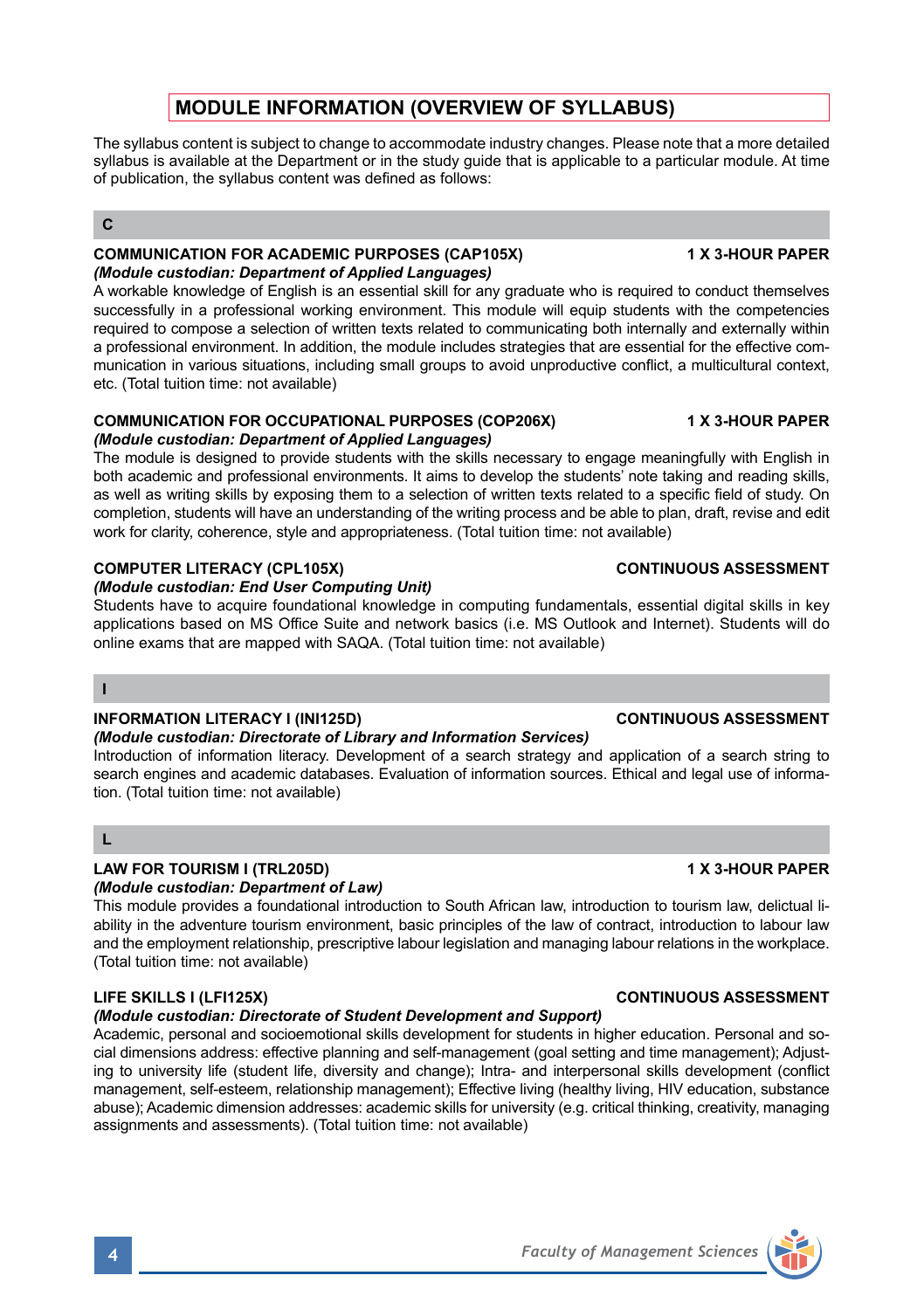# **MODULE INFORMATION (OVERVIEW OF SYLLABUS)**

The syllabus content is subject to change to accommodate industry changes. Please note that a more detailed syllabus is available at the Department or in the study guide that is applicable to a particular module. At time of publication, the syllabus content was defined as follows:

### **C**

### **COMMUNICATION FOR ACADEMIC PURPOSES (CAP105X) 1 X 3-HOUR PAPER** *(Module custodian: Department of Applied Languages)*

A workable knowledge of English is an essential skill for any graduate who is required to conduct themselves successfully in a professional working environment. This module will equip students with the competencies required to compose a selection of written texts related to communicating both internally and externally within a professional environment. In addition, the module includes strategies that are essential for the effective communication in various situations, including small groups to avoid unproductive conflict, a multicultural context, etc. (Total tuition time: not available)

## **COMMUNICATION FOR OCCUPATIONAL PURPOSES (COP206X) 1 X 3-HOUR PAPER**

## *(Module custodian: Department of Applied Languages)*

The module is designed to provide students with the skills necessary to engage meaningfully with English in both academic and professional environments. It aims to develop the students' note taking and reading skills, as well as writing skills by exposing them to a selection of written texts related to a specific field of study. On completion, students will have an understanding of the writing process and be able to plan, draft, revise and edit work for clarity, coherence, style and appropriateness. (Total tuition time: not available)

## **COMPUTER LITERACY (CPL105X)** CONTINUOUS ASSESSMENT

### *(Module custodian: End User Computing Unit)*

Students have to acquire foundational knowledge in computing fundamentals, essential digital skills in key applications based on MS Office Suite and network basics (i.e. MS Outlook and Internet). Students will do online exams that are mapped with SAQA. (Total tuition time: not available)

## **I**

## **INFORMATION LITERACY I (INI125D) CONTINUOUS ASSESSMENT**

### *(Module custodian: Directorate of Library and Information Services)*

Introduction of information literacy. Development of a search strategy and application of a search string to search engines and academic databases. Evaluation of information sources. Ethical and legal use of information. (Total tuition time: not available)

### **L**

# **LAW FOR TOURISM I (TRL205D) 1 X 3-HOUR PAPER**

## *(Module custodian: Department of Law)*

This module provides a foundational introduction to South African law, introduction to tourism law, delictual liability in the adventure tourism environment, basic principles of the law of contract, introduction to labour law and the employment relationship, prescriptive labour legislation and managing labour relations in the workplace. (Total tuition time: not available)

## *(Module custodian: Directorate of Student Development and Support)*

Academic, personal and socioemotional skills development for students in higher education. Personal and social dimensions address: effective planning and self-management (goal setting and time management); Adjusting to university life (student life, diversity and change); Intra- and interpersonal skills development (conflict management, self-esteem, relationship management); Effective living (healthy living, HIV education, substance abuse); Academic dimension addresses: academic skills for university (e.g. critical thinking, creativity, managing assignments and assessments). (Total tuition time: not available)

### **LIFE SKILLS I (LFI125X) CONTINUOUS ASSESSMENT**

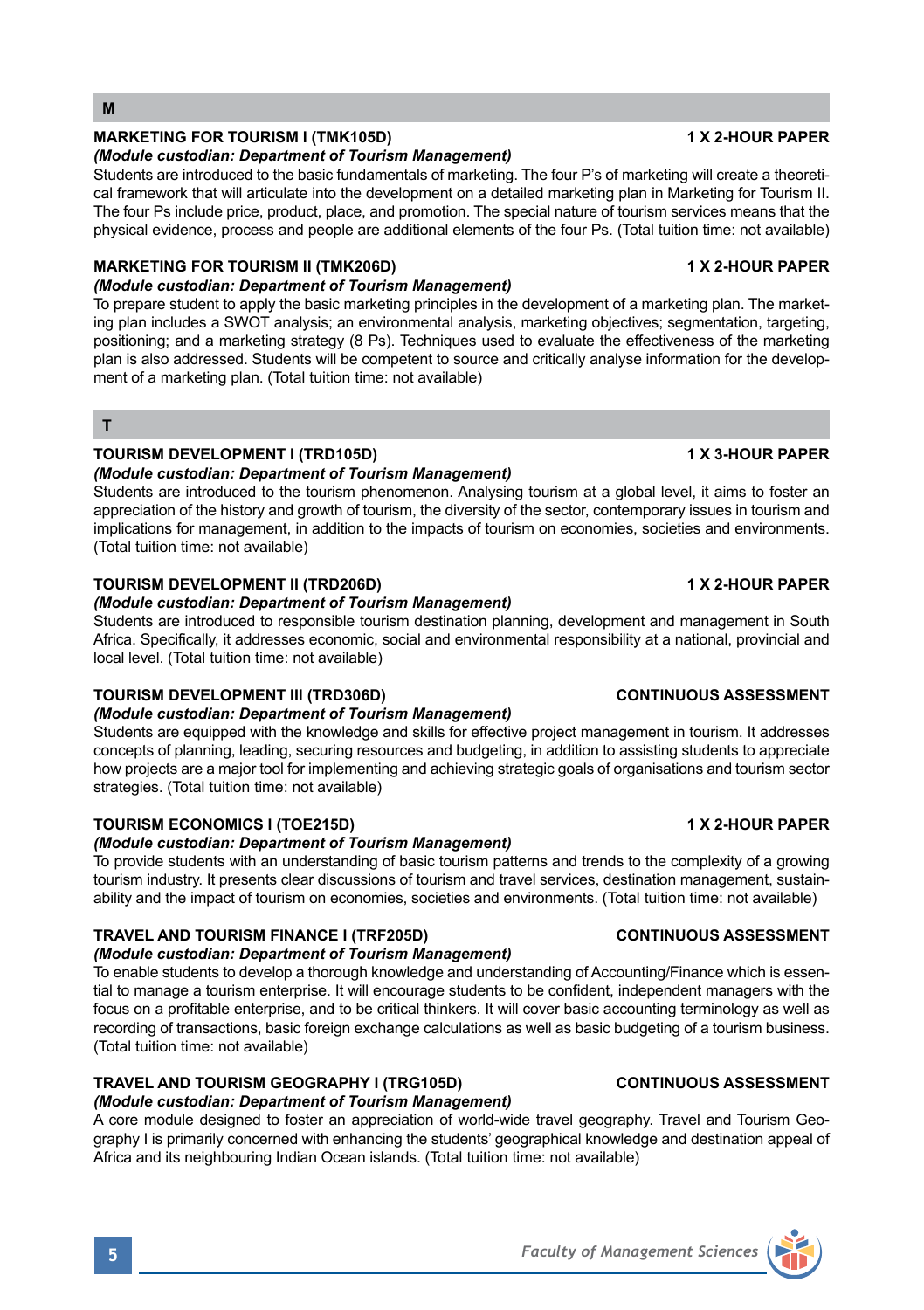## **M**

## **MARKETING FOR TOURISM I (TMK105D) 1 X 2-HOUR PAPER**

## *(Module custodian: Department of Tourism Management)*

Students are introduced to the basic fundamentals of marketing. The four P's of marketing will create a theoretical framework that will articulate into the development on a detailed marketing plan in Marketing for Tourism II. The four Ps include price, product, place, and promotion. The special nature of tourism services means that the physical evidence, process and people are additional elements of the four Ps. (Total tuition time: not available)

## **MARKETING FOR TOURISM II (TMK206D) 1 X 2-HOUR PAPER**

## *(Module custodian: Department of Tourism Management)*

To prepare student to apply the basic marketing principles in the development of a marketing plan. The marketing plan includes a SWOT analysis; an environmental analysis, marketing objectives; segmentation, targeting, positioning; and a marketing strategy (8 Ps). Techniques used to evaluate the effectiveness of the marketing plan is also addressed. Students will be competent to source and critically analyse information for the development of a marketing plan. (Total tuition time: not available)

### **T**

## **TOURISM DEVELOPMENT I (TRD105D) 1 X 3-HOUR PAPER**

## *(Module custodian: Department of Tourism Management)*

Students are introduced to the tourism phenomenon. Analysing tourism at a global level, it aims to foster an appreciation of the history and growth of tourism, the diversity of the sector, contemporary issues in tourism and implications for management, in addition to the impacts of tourism on economies, societies and environments. (Total tuition time: not available)

### **TOURISM DEVELOPMENT II (TRD206D) 1 X 2-HOUR PAPER**

### *(Module custodian: Department of Tourism Management)*

Students are introduced to responsible tourism destination planning, development and management in South Africa. Specifically, it addresses economic, social and environmental responsibility at a national, provincial and local level. (Total tuition time: not available)

### **TOURISM DEVELOPMENT III (TRD306D) CONTINUOUS ASSESSMENT**

## *(Module custodian: Department of Tourism Management)*

Students are equipped with the knowledge and skills for effective project management in tourism. It addresses concepts of planning, leading, securing resources and budgeting, in addition to assisting students to appreciate how projects are a major tool for implementing and achieving strategic goals of organisations and tourism sector strategies. (Total tuition time: not available)

## **TOURISM ECONOMICS I (TOE215D)** 1 X 2-HOUR PAPER

## *(Module custodian: Department of Tourism Management)*

To provide students with an understanding of basic tourism patterns and trends to the complexity of a growing tourism industry. It presents clear discussions of tourism and travel services, destination management, sustainability and the impact of tourism on economies, societies and environments. (Total tuition time: not available)

## **TRAVEL AND TOURISM FINANCE I (TRF205D) CONTINUOUS ASSESSMENT**

## *(Module custodian: Department of Tourism Management)*

To enable students to develop a thorough knowledge and understanding of Accounting/Finance which is essential to manage a tourism enterprise. It will encourage students to be confident, independent managers with the focus on a profitable enterprise, and to be critical thinkers. It will cover basic accounting terminology as well as recording of transactions, basic foreign exchange calculations as well as basic budgeting of a tourism business. (Total tuition time: not available)

## **TRAVEL AND TOURISM GEOGRAPHY I (TRG105D) CONTINUOUS ASSESSMENT**

## *(Module custodian: Department of Tourism Management)*

A core module designed to foster an appreciation of world-wide travel geography. Travel and Tourism Geography I is primarily concerned with enhancing the students' geographical knowledge and destination appeal of Africa and its neighbouring Indian Ocean islands. (Total tuition time: not available)